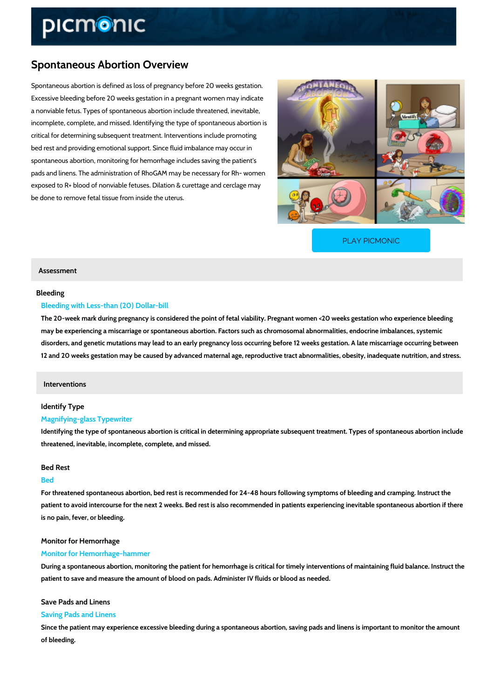## Spontaneous Abortion Overview

Spontaneous abortion is defined as loss of pregnancy before 20 weeks gestation. Excessive bleeding before 20 weeks gestation in a pregnant women may indicate a nonviable fetus. Types of spontaneous abortion include threatened, inevitable, incomplete, complete, and missed. Identifying the type of spontaneous abortion is critical for determining subsequent treatment. Interventions include promoting bed rest and providing emotional support. Since fluid imbalance may occur in spontaneous abortion, monitoring for hemorrhage includes saving the patient's pads and linens. The administration of RhoGAM may be necessary for Rh- women exposed to R+ blood of nonviable fetuses. Dilation & curettage and cerclage may be done to remove fetal tissue from inside the uterus.

[PLAY PICMONIC](https://www.picmonic.com/learn/spontaneous-abortion_2268?utm_source=downloadable_content&utm_medium=distributedcontent&utm_campaign=pathways_pdf&utm_content=Spontaneous Abortion Overview&utm_ad_group=leads&utm_market=all)

## Assessment

## Bleeding

#### Bleeding with Less-than (20) Dollar-bill

The 20-week mark during pregnancy is considered the point of fetal viability. Pregnant wome may be experiencing a miscarriage or spontaneous abortion. Factors such as chromosomal ab disorders, and genetic mutations may lead to an early pregnancy loss occurring before 12 we 12 and 20 weeks gestation may be caused by advanced maternal age, reproductive tract abno

#### Interventions

## Identify Type

#### Magnifying-glass Typewriter

Identifying the type of spontaneous abortion is critical in determining appropriate subsequent threatened, inevitable, incomplete, complete, and missed.

#### Bed Rest

#### Bed

For threatened spontaneous abortion, bed rest is recommended for 24-48 hours following sym patient to avoid intercourse for the next 2 weeks. Bed rest is also recommended in patients  $\epsilon$ is no pain, fever, or bleeding.

#### Monitor for Hemorrhage

## Monitor for Hemorrhage-hammer

During a spontaneous abortion, monitoring the patient for hemorrhage is critical for timely in patient to save and measure the amount of blood on pads. Administer IV fluids or blood as ne

#### Save Pads and Linens

#### Saving Pads and Linens

Since the patient may experience excessive bleeding during a spontaneous abortion, saving of bleeding.